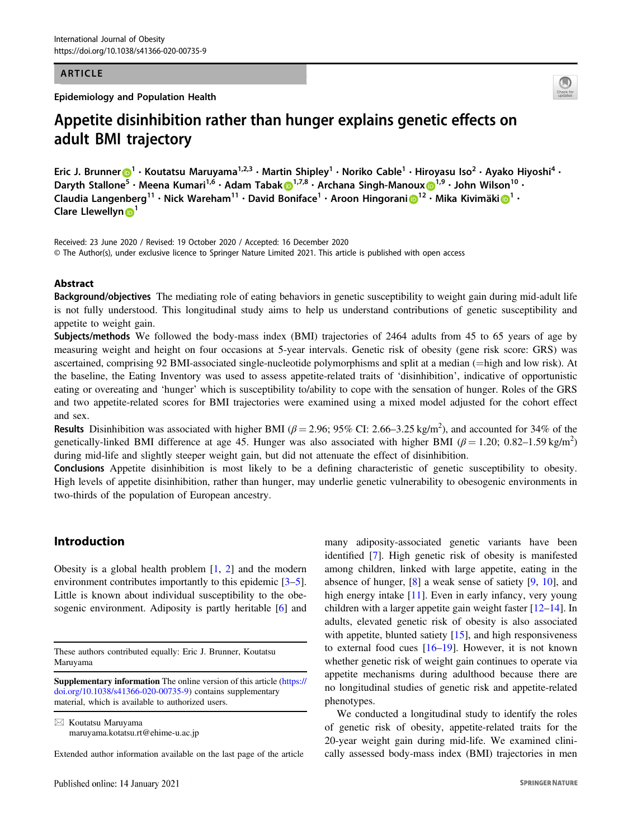#### ARTICLE

Epidemiology and Population Health



# Appetite disinhibition rather than hunger explains genetic effects on adult BMI trajectory

E[r](http://orcid.org/0000-0002-0595-4474)ic J. Brunner  $\bigcirc^1 \cdot$  $\bigcirc^1 \cdot$  $\bigcirc^1 \cdot$  Koutatsu Maruyama<sup>1,2,3</sup> • Martin Shipley<sup>1</sup> • Noriko Cable<sup>1</sup> • Hiroyasu Iso<sup>2</sup> • Ayako Hiyoshi<sup>4</sup> • Daryth Stallone<sup>5</sup> • Meena Kumari<sup>1,6</sup> • Adam Taba[k](http://orcid.org/0000-0002-6234-3936) D<sup>[1](http://orcid.org/0000-0002-1244-5037),7,8</sup> • Archana Singh-Manoux D<sup>1,9</sup> • John Wilson<sup>10</sup> • Claud[i](http://orcid.org/0000-0001-8365-0081)a Langenberg<sup>[1](http://orcid.org/0000-0002-4699-5627)1</sup> • Nick Wareham<sup>11</sup> • David Boniface<sup>1</sup> • Aroon Hingorani D<sup>1[2](http://orcid.org/0000-0002-1244-5037)</sup> • Mika Kivimäki D<sup>1</sup> • Clare Llewellyn<sup>[1](http://orcid.org/0000-0002-0066-2827)</sup>

Received: 23 June 2020 / Revised: 19 October 2020 / Accepted: 16 December 2020 © The Author(s), under exclusive licence to Springer Nature Limited 2021. This article is published with open access

## Abstract

Background/objectives The mediating role of eating behaviors in genetic susceptibility to weight gain during mid-adult life is not fully understood. This longitudinal study aims to help us understand contributions of genetic susceptibility and appetite to weight gain.

Subjects/methods We followed the body-mass index (BMI) trajectories of 2464 adults from 45 to 65 years of age by measuring weight and height on four occasions at 5-year intervals. Genetic risk of obesity (gene risk score: GRS) was ascertained, comprising 92 BMI-associated single-nucleotide polymorphisms and split at a median (=high and low risk). At the baseline, the Eating Inventory was used to assess appetite-related traits of 'disinhibition', indicative of opportunistic eating or overeating and 'hunger' which is susceptibility to/ability to cope with the sensation of hunger. Roles of the GRS and two appetite-related scores for BMI trajectories were examined using a mixed model adjusted for the cohort effect and sex.

Results Disinhibition was associated with higher BMI ( $\beta$  = 2.96; 95% CI: 2.66–3.25 kg/m<sup>2</sup>), and accounted for 34% of the genetically-linked BMI difference at age 45. Hunger was also associated with higher BMI ( $\beta$  = 1.20; 0.82–1.59 kg/m<sup>2</sup>) during mid-life and slightly steeper weight gain, but did not attenuate the effect of disinhibition.

Conclusions Appetite disinhibition is most likely to be a defining characteristic of genetic susceptibility to obesity. High levels of appetite disinhibition, rather than hunger, may underlie genetic vulnerability to obesogenic environments in two-thirds of the population of European ancestry.

## Introduction

Obesity is a global health problem  $[1, 2]$  $[1, 2]$  $[1, 2]$  and the modern environment contributes importantly to this epidemic [\[3](#page-6-0)–[5](#page-6-0)]. Little is known about individual susceptibility to the obe-sogenic environment. Adiposity is partly heritable [[6\]](#page-6-0) and

These authors contributed equally: Eric J. Brunner, Koutatsu Maruyama

 $\boxtimes$  Koutatsu Maruyama [maruyama.kotatsu.rt@ehime-u.ac.jp](mailto:maruyama.kotatsu.rt@ehime-u.ac.jp)

Extended author information available on the last page of the article

many adiposity-associated genetic variants have been identified [\[7](#page-6-0)]. High genetic risk of obesity is manifested among children, linked with large appetite, eating in the absence of hunger, [[8\]](#page-6-0) a weak sense of satiety [\[9](#page-6-0), [10\]](#page-6-0), and high energy intake [\[11](#page-6-0)]. Even in early infancy, very young children with a larger appetite gain weight faster  $[12-14]$  $[12-14]$  $[12-14]$  $[12-14]$ . In adults, elevated genetic risk of obesity is also associated with appetite, blunted satiety [\[15](#page-6-0)], and high responsiveness to external food cues [[16](#page-6-0)–[19\]](#page-6-0). However, it is not known whether genetic risk of weight gain continues to operate via appetite mechanisms during adulthood because there are no longitudinal studies of genetic risk and appetite-related phenotypes.

We conducted a longitudinal study to identify the roles of genetic risk of obesity, appetite-related traits for the 20-year weight gain during mid-life. We examined clinically assessed body-mass index (BMI) trajectories in men

Supplementary information The online version of this article ([https://](https://doi.org/10.1038/s41366-020-00735-9) [doi.org/10.1038/s41366-020-00735-9\)](https://doi.org/10.1038/s41366-020-00735-9) contains supplementary material, which is available to authorized users.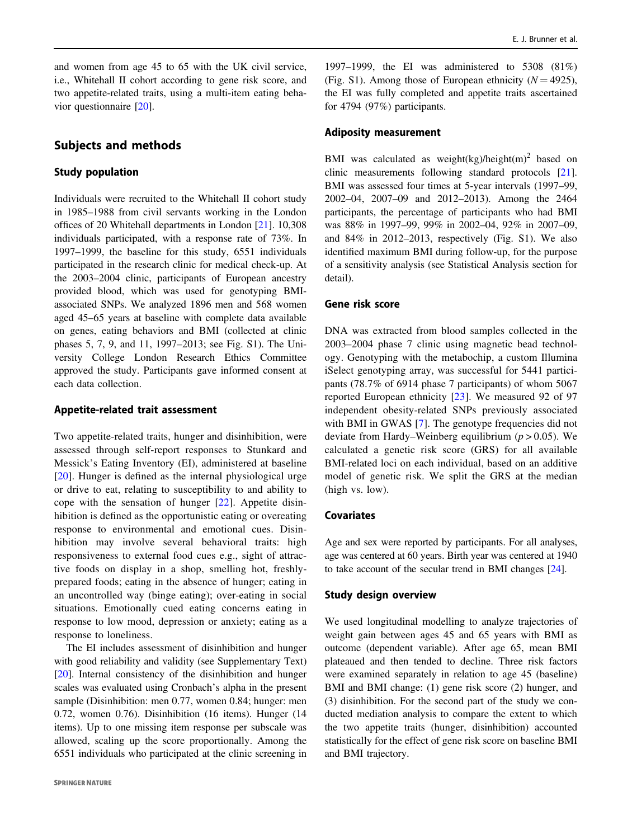and women from age 45 to 65 with the UK civil service, i.e., Whitehall II cohort according to gene risk score, and two appetite-related traits, using a multi-item eating behavior questionnaire [\[20](#page-6-0)].

## Subjects and methods

#### Study population

Individuals were recruited to the Whitehall II cohort study in 1985–1988 from civil servants working in the London offices of 20 Whitehall departments in London [\[21](#page-6-0)]. 10,308 individuals participated, with a response rate of 73%. In 1997–1999, the baseline for this study, 6551 individuals participated in the research clinic for medical check-up. At the 2003–2004 clinic, participants of European ancestry provided blood, which was used for genotyping BMIassociated SNPs. We analyzed 1896 men and 568 women aged 45–65 years at baseline with complete data available on genes, eating behaviors and BMI (collected at clinic phases 5, 7, 9, and 11, 1997–2013; see Fig. S1). The University College London Research Ethics Committee approved the study. Participants gave informed consent at each data collection.

#### Appetite-related trait assessment

Two appetite-related traits, hunger and disinhibition, were assessed through self-report responses to Stunkard and Messick's Eating Inventory (EI), administered at baseline [\[20\]](#page-6-0). Hunger is defined as the internal physiological urge or drive to eat, relating to susceptibility to and ability to cope with the sensation of hunger [[22](#page-6-0)]. Appetite disinhibition is defined as the opportunistic eating or overeating response to environmental and emotional cues. Disinhibition may involve several behavioral traits: high responsiveness to external food cues e.g., sight of attractive foods on display in a shop, smelling hot, freshlyprepared foods; eating in the absence of hunger; eating in an uncontrolled way (binge eating); over-eating in social situations. Emotionally cued eating concerns eating in response to low mood, depression or anxiety; eating as a response to loneliness.

The EI includes assessment of disinhibition and hunger with good reliability and validity (see Supplementary Text) [\[20](#page-6-0)]. Internal consistency of the disinhibition and hunger scales was evaluated using Cronbach's alpha in the present sample (Disinhibition: men 0.77, women 0.84; hunger: men 0.72, women 0.76). Disinhibition (16 items). Hunger (14 items). Up to one missing item response per subscale was allowed, scaling up the score proportionally. Among the 6551 individuals who participated at the clinic screening in

1997–1999, the EI was administered to 5308 (81%) (Fig. S1). Among those of European ethnicity ( $N = 4925$ ), the EI was fully completed and appetite traits ascertained for 4794 (97%) participants.

## Adiposity measurement

BMI was calculated as weight(kg)/height(m)<sup>2</sup> based on clinic measurements following standard protocols [[21\]](#page-6-0). BMI was assessed four times at 5-year intervals (1997–99, 2002–04, 2007–09 and 2012–2013). Among the 2464 participants, the percentage of participants who had BMI was 88% in 1997–99, 99% in 2002–04, 92% in 2007–09, and 84% in 2012–2013, respectively (Fig. S1). We also identified maximum BMI during follow-up, for the purpose of a sensitivity analysis (see Statistical Analysis section for detail).

## Gene risk score

DNA was extracted from blood samples collected in the 2003–2004 phase 7 clinic using magnetic bead technology. Genotyping with the metabochip, a custom Illumina iSelect genotyping array, was successful for 5441 participants (78.7% of 6914 phase 7 participants) of whom 5067 reported European ethnicity [\[23\]](#page-6-0). We measured 92 of 97 independent obesity-related SNPs previously associated with BMI in GWAS [[7\]](#page-6-0). The genotype frequencies did not deviate from Hardy–Weinberg equilibrium ( $p > 0.05$ ). We calculated a genetic risk score (GRS) for all available BMI-related loci on each individual, based on an additive model of genetic risk. We split the GRS at the median (high vs. low).

#### Covariates

Age and sex were reported by participants. For all analyses, age was centered at 60 years. Birth year was centered at 1940 to take account of the secular trend in BMI changes [\[24\]](#page-6-0).

#### Study design overview

We used longitudinal modelling to analyze trajectories of weight gain between ages 45 and 65 years with BMI as outcome (dependent variable). After age 65, mean BMI plateaued and then tended to decline. Three risk factors were examined separately in relation to age 45 (baseline) BMI and BMI change: (1) gene risk score (2) hunger, and (3) disinhibition. For the second part of the study we conducted mediation analysis to compare the extent to which the two appetite traits (hunger, disinhibition) accounted statistically for the effect of gene risk score on baseline BMI and BMI trajectory.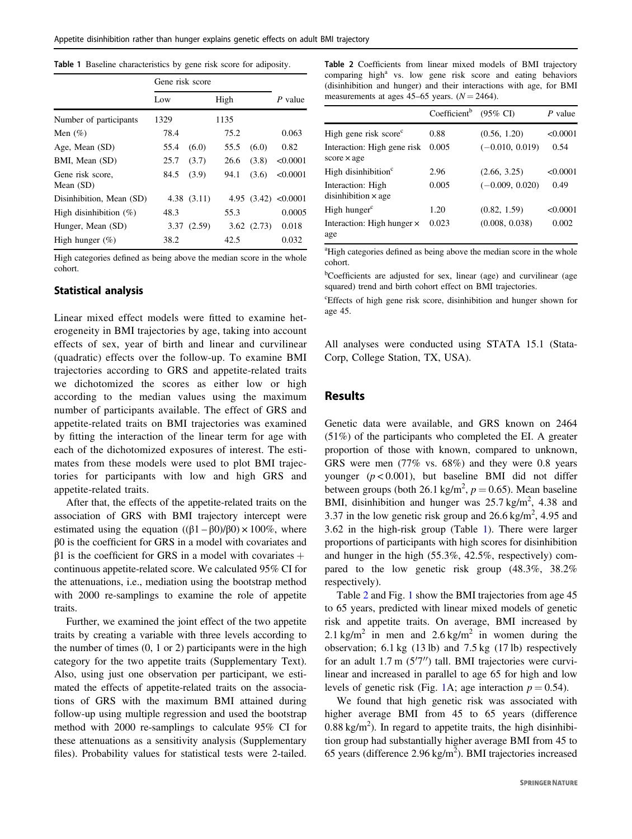| Gene risk score |       |                          |       |                                     |
|-----------------|-------|--------------------------|-------|-------------------------------------|
| Low             |       | High                     |       | P value                             |
| 1329            |       | 1135                     |       |                                     |
| 78.4            |       | 75.2                     |       | 0.063                               |
| 55.4            | (6.0) | 55.5                     | (6.0) | 0.82                                |
| 25.7            | (3.7) | 26.6                     | (3.8) | < 0.0001                            |
| 84.5            | (3.9) | 94.1                     | (3.6) | < 0.0001                            |
|                 |       |                          |       |                                     |
| 48.3            |       | 55.3                     |       | 0.0005                              |
|                 |       |                          |       | 0.018                               |
| 38.2            |       | 42.5                     |       | 0.032                               |
|                 |       | 4.38(3.11)<br>3.37(2.59) |       | 4.95 $(3.42)$ <0.0001<br>3.62(2.73) |

High categories defined as being above the median score in the whole cohort.

#### Statistical analysis

Linear mixed effect models were fitted to examine heterogeneity in BMI trajectories by age, taking into account effects of sex, year of birth and linear and curvilinear (quadratic) effects over the follow-up. To examine BMI trajectories according to GRS and appetite-related traits we dichotomized the scores as either low or high according to the median values using the maximum number of participants available. The effect of GRS and appetite-related traits on BMI trajectories was examined by fitting the interaction of the linear term for age with each of the dichotomized exposures of interest. The estimates from these models were used to plot BMI trajectories for participants with low and high GRS and appetite-related traits.

After that, the effects of the appetite-related traits on the association of GRS with BMI trajectory intercept were estimated using the equation  $((β1 – β0)/β0) \times 100\%$ , where β0 is the coefficient for GRS in a model with covariates and  $β1$  is the coefficient for GRS in a model with covariates + continuous appetite-related score. We calculated 95% CI for the attenuations, i.e., mediation using the bootstrap method with 2000 re-samplings to examine the role of appetite traits.

Further, we examined the joint effect of the two appetite traits by creating a variable with three levels according to the number of times (0, 1 or 2) participants were in the high category for the two appetite traits (Supplementary Text). Also, using just one observation per participant, we estimated the effects of appetite-related traits on the associations of GRS with the maximum BMI attained during follow-up using multiple regression and used the bootstrap method with 2000 re-samplings to calculate 95% CI for these attenuations as a sensitivity analysis (Supplementary files). Probability values for statistical tests were 2-tailed. Table 2 Coefficients from linear mixed models of BMI trajectory comparing high<sup>a</sup> vs. low gene risk score and eating behaviors (disinhibition and hunger) and their interactions with age, for BMI measurements at ages 45–65 years.  $(N = 2464)$ .

|                                                   | Coefficient <sup>b</sup> | $(95\% \text{ C}I)$ | P value  |
|---------------------------------------------------|--------------------------|---------------------|----------|
| High gene risk score <sup>c</sup>                 | 0.88                     | (0.56, 1.20)        | < 0.0001 |
| Interaction: High gene risk<br>$score \times age$ | 0.005                    | $(-0.010, 0.019)$   | 0.54     |
| High disinhibition <sup>c</sup>                   | 2.96                     | (2.66, 3.25)        | < 0.0001 |
| Interaction: High<br>disinhibition $\times$ age   | 0.005                    | $(-0.009, 0.020)$   | 0.49     |
| High hunger <sup>c</sup>                          | 1.20                     | (0.82, 1.59)        | < 0.0001 |
| Interaction: High hunger $\times$<br>age          | 0.023                    | (0.008, 0.038)      | 0.002    |

<sup>a</sup>High categories defined as being above the median score in the whole cohort.

<sup>b</sup>Coefficients are adjusted for sex, linear (age) and curvilinear (age squared) trend and birth cohort effect on BMI trajectories.

c Effects of high gene risk score, disinhibition and hunger shown for age 45.

All analyses were conducted using STATA 15.1 (Stata-Corp, College Station, TX, USA).

## Results

Genetic data were available, and GRS known on 2464 (51%) of the participants who completed the EI. A greater proportion of those with known, compared to unknown, GRS were men (77% vs. 68%) and they were 0.8 years younger  $(p < 0.001)$ , but baseline BMI did not differ between groups (both 26.1 kg/m<sup>2</sup>,  $p = 0.65$ ). Mean baseline BMI, disinhibition and hunger was  $25.7 \text{ kg/m}^2$ , 4.38 and 3.37 in the low genetic risk group and  $26.6 \text{ kg/m}^2$ , 4.95 and 3.62 in the high-risk group (Table 1). There were larger proportions of participants with high scores for disinhibition and hunger in the high (55.3%, 42.5%, respectively) compared to the low genetic risk group (48.3%, 38.2% respectively).

Table 2 and Fig. [1](#page-3-0) show the BMI trajectories from age 45 to 65 years, predicted with linear mixed models of genetic risk and appetite traits. On average, BMI increased by 2.1 kg/m<sup>2</sup> in men and  $2.6$  kg/m<sup>2</sup> in women during the observation; 6.1 kg (13 lb) and 7.5 kg (17 lb) respectively for an adult 1.7 m (5′7′′) tall. BMI trajectories were curvilinear and increased in parallel to age 65 for high and low levels of genetic risk (Fig. [1](#page-3-0)A; age interaction  $p = 0.54$ ).

We found that high genetic risk was associated with higher average BMI from 45 to 65 years (difference  $0.88 \text{ kg/m}^2$ ). In regard to appetite traits, the high disinhibition group had substantially higher average BMI from 45 to 65 years (difference  $2.96 \text{ kg/m}^2$ ). BMI trajectories increased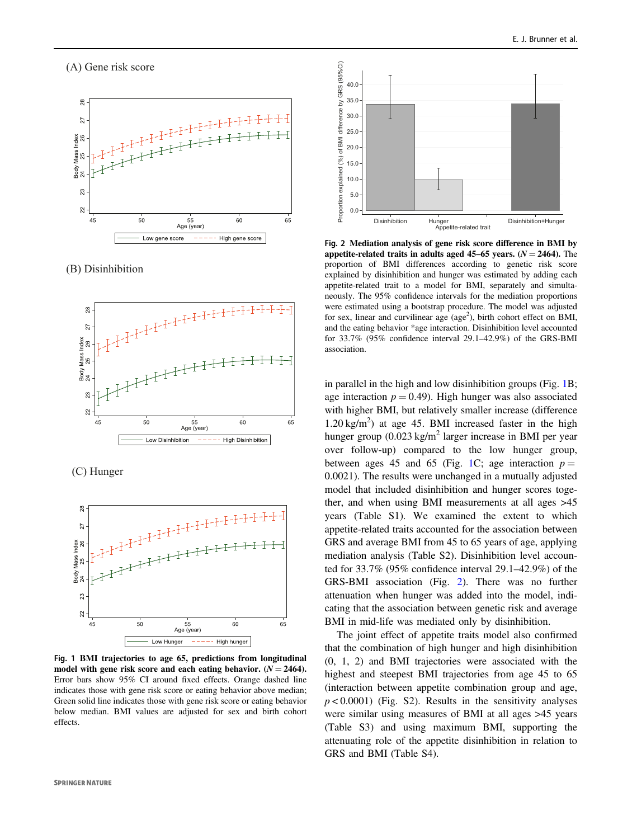# <span id="page-3-0"></span> $\sqrt{2}$  General risk score



 $\sum_{i=1}^{n}$ 



 $\left( \cdot \right)$  ----g.



Fig. 1 BMI trajectories to age 65, predictions from longitudinal model with gene risk score and each eating behavior.  $(N = 2464)$ . Error bars show 95% CI around fixed effects. Orange dashed line indicates those with gene risk score or eating behavior above median; Green solid line indicates those with gene risk score or eating behavior below median. BMI values are adjusted for sex and birth cohort effects.



Fig. 2 Mediation analysis of gene risk score difference in BMI by appetite-related traits in adults aged 45–65 years.  $(N = 2464)$ . The proportion of BMI differences according to genetic risk score explained by disinhibition and hunger was estimated by adding each appetite-related trait to a model for BMI, separately and simultaneously. The 95% confidence intervals for the mediation proportions were estimated using a bootstrap procedure. The model was adjusted for sex, linear and curvilinear age (age<sup>2</sup>), birth cohort effect on BMI, and the eating behavior \*age interaction. Disinhibition level accounted for 33.7% (95% confidence interval 29.1–42.9%) of the GRS-BMI association.

in parallel in the high and low disinhibition groups (Fig. 1B; age interaction  $p = 0.49$ . High hunger was also associated with higher BMI, but relatively smaller increase (difference  $1.20 \text{ kg/m}^2$ ) at age 45. BMI increased faster in the high hunger group  $(0.023 \text{ kg/m}^2)$  larger increase in BMI per year over follow-up) compared to the low hunger group, between ages 45 and 65 (Fig. 1C; age interaction  $p =$ 0.0021). The results were unchanged in a mutually adjusted model that included disinhibition and hunger scores together, and when using BMI measurements at all ages >45 years (Table S1). We examined the extent to which appetite-related traits accounted for the association between GRS and average BMI from 45 to 65 years of age, applying mediation analysis (Table S2). Disinhibition level accounted for 33.7% (95% confidence interval 29.1–42.9%) of the GRS-BMI association (Fig. 2). There was no further attenuation when hunger was added into the model, indicating that the association between genetic risk and average BMI in mid-life was mediated only by disinhibition.

The joint effect of appetite traits model also confirmed that the combination of high hunger and high disinhibition (0, 1, 2) and BMI trajectories were associated with the highest and steepest BMI trajectories from age 45 to 65 (interaction between appetite combination group and age,  $p < 0.0001$ ) (Fig. S2). Results in the sensitivity analyses were similar using measures of BMI at all ages >45 years (Table S3) and using maximum BMI, supporting the attenuating role of the appetite disinhibition in relation to GRS and BMI (Table S4).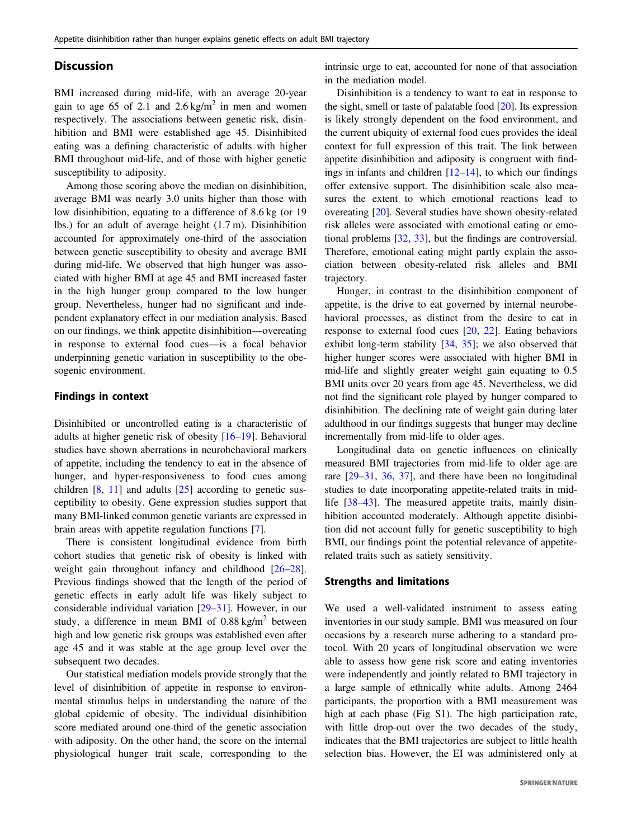## **Discussion**

BMI increased during mid-life, with an average 20-year gain to age 65 of 2.1 and  $2.6 \text{ kg/m}^2$  in men and women respectively. The associations between genetic risk, disinhibition and BMI were established age 45. Disinhibited eating was a defining characteristic of adults with higher BMI throughout mid-life, and of those with higher genetic susceptibility to adiposity.

Among those scoring above the median on disinhibition, average BMI was nearly 3.0 units higher than those with low disinhibition, equating to a difference of 8.6 kg (or 19 lbs.) for an adult of average height (1.7 m). Disinhibition accounted for approximately one-third of the association between genetic susceptibility to obesity and average BMI during mid-life. We observed that high hunger was associated with higher BMI at age 45 and BMI increased faster in the high hunger group compared to the low hunger group. Nevertheless, hunger had no significant and independent explanatory effect in our mediation analysis. Based on our findings, we think appetite disinhibition—overeating in response to external food cues—is a focal behavior underpinning genetic variation in susceptibility to the obesogenic environment.

#### Findings in context

Disinhibited or uncontrolled eating is a characteristic of adults at higher genetic risk of obesity [\[16](#page-6-0)–[19\]](#page-6-0). Behavioral studies have shown aberrations in neurobehavioral markers of appetite, including the tendency to eat in the absence of hunger, and hyper-responsiveness to food cues among children  $[8, 11]$  $[8, 11]$  $[8, 11]$  $[8, 11]$  $[8, 11]$  and adults  $[25]$  $[25]$  according to genetic susceptibility to obesity. Gene expression studies support that many BMI-linked common genetic variants are expressed in brain areas with appetite regulation functions [\[7](#page-6-0)].

There is consistent longitudinal evidence from birth cohort studies that genetic risk of obesity is linked with weight gain throughout infancy and childhood [\[26](#page-6-0)–[28](#page-6-0)]. Previous findings showed that the length of the period of genetic effects in early adult life was likely subject to considerable individual variation [\[29](#page-6-0)–[31](#page-6-0)]. However, in our study, a difference in mean BMI of  $0.88 \text{ kg/m}^2$  between high and low genetic risk groups was established even after age 45 and it was stable at the age group level over the subsequent two decades.

Our statistical mediation models provide strongly that the level of disinhibition of appetite in response to environmental stimulus helps in understanding the nature of the global epidemic of obesity. The individual disinhibition score mediated around one-third of the genetic association with adiposity. On the other hand, the score on the internal physiological hunger trait scale, corresponding to the intrinsic urge to eat, accounted for none of that association in the mediation model.

Disinhibition is a tendency to want to eat in response to the sight, smell or taste of palatable food [[20\]](#page-6-0). Its expression is likely strongly dependent on the food environment, and the current ubiquity of external food cues provides the ideal context for full expression of this trait. The link between appetite disinhibition and adiposity is congruent with findings in infants and children  $[12-14]$  $[12-14]$  $[12-14]$  $[12-14]$ , to which our findings offer extensive support. The disinhibition scale also measures the extent to which emotional reactions lead to overeating [[20\]](#page-6-0). Several studies have shown obesity-related risk alleles were associated with emotional eating or emotional problems [[32,](#page-6-0) [33](#page-6-0)], but the findings are controversial. Therefore, emotional eating might partly explain the association between obesity-related risk alleles and BMI trajectory.

Hunger, in contrast to the disinhibition component of appetite, is the drive to eat governed by internal neurobehavioral processes, as distinct from the desire to eat in response to external food cues [[20,](#page-6-0) [22](#page-6-0)]. Eating behaviors exhibit long-term stability [[34,](#page-6-0) [35](#page-6-0)]; we also observed that higher hunger scores were associated with higher BMI in mid-life and slightly greater weight gain equating to 0.5 BMI units over 20 years from age 45. Nevertheless, we did not find the significant role played by hunger compared to disinhibition. The declining rate of weight gain during later adulthood in our findings suggests that hunger may decline incrementally from mid-life to older ages.

Longitudinal data on genetic influences on clinically measured BMI trajectories from mid-life to older age are rare [\[29](#page-6-0)–[31](#page-6-0), [36,](#page-6-0) [37](#page-6-0)], and there have been no longitudinal studies to date incorporating appetite-related traits in mid-life [\[38](#page-7-0)–[43](#page-7-0)]. The measured appetite traits, mainly disinhibition accounted moderately. Although appetite disinbition did not account fully for genetic susceptibility to high BMI, our findings point the potential relevance of appetiterelated traits such as satiety sensitivity.

#### Strengths and limitations

We used a well-validated instrument to assess eating inventories in our study sample. BMI was measured on four occasions by a research nurse adhering to a standard protocol. With 20 years of longitudinal observation we were able to assess how gene risk score and eating inventories were independently and jointly related to BMI trajectory in a large sample of ethnically white adults. Among 2464 participants, the proportion with a BMI measurement was high at each phase (Fig S1). The high participation rate, with little drop-out over the two decades of the study, indicates that the BMI trajectories are subject to little health selection bias. However, the EI was administered only at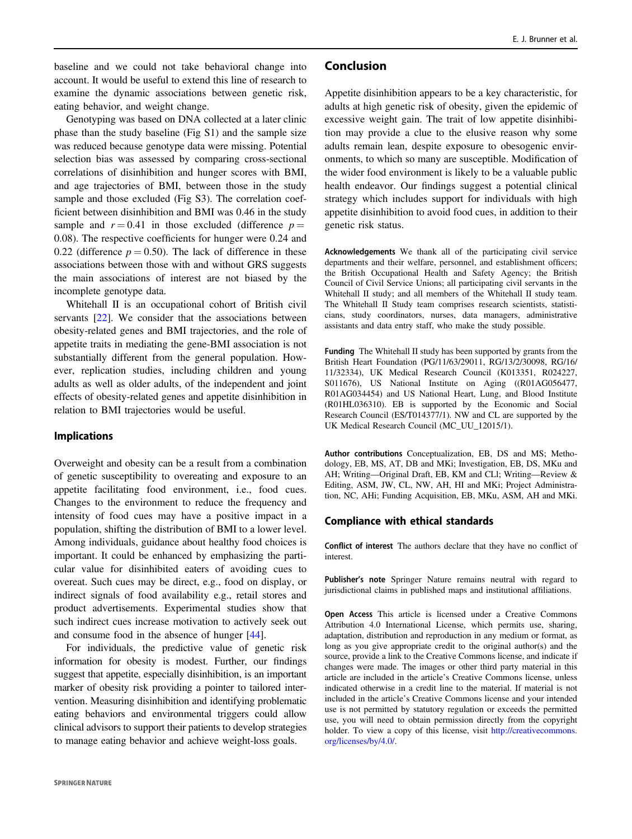baseline and we could not take behavioral change into account. It would be useful to extend this line of research to examine the dynamic associations between genetic risk, eating behavior, and weight change.

Genotyping was based on DNA collected at a later clinic phase than the study baseline (Fig S1) and the sample size was reduced because genotype data were missing. Potential selection bias was assessed by comparing cross-sectional correlations of disinhibition and hunger scores with BMI, and age trajectories of BMI, between those in the study sample and those excluded (Fig S3). The correlation coefficient between disinhibition and BMI was 0.46 in the study sample and  $r = 0.41$  in those excluded (difference  $p =$ 0.08). The respective coefficients for hunger were 0.24 and 0.22 (difference  $p = 0.50$ ). The lack of difference in these associations between those with and without GRS suggests the main associations of interest are not biased by the incomplete genotype data.

Whitehall II is an occupational cohort of British civil servants [\[22](#page-6-0)]. We consider that the associations between obesity-related genes and BMI trajectories, and the role of appetite traits in mediating the gene-BMI association is not substantially different from the general population. However, replication studies, including children and young adults as well as older adults, of the independent and joint effects of obesity-related genes and appetite disinhibition in relation to BMI trajectories would be useful.

## Implications

Overweight and obesity can be a result from a combination of genetic susceptibility to overeating and exposure to an appetite facilitating food environment, i.e., food cues. Changes to the environment to reduce the frequency and intensity of food cues may have a positive impact in a population, shifting the distribution of BMI to a lower level. Among individuals, guidance about healthy food choices is important. It could be enhanced by emphasizing the particular value for disinhibited eaters of avoiding cues to overeat. Such cues may be direct, e.g., food on display, or indirect signals of food availability e.g., retail stores and product advertisements. Experimental studies show that such indirect cues increase motivation to actively seek out and consume food in the absence of hunger [\[44](#page-7-0)].

For individuals, the predictive value of genetic risk information for obesity is modest. Further, our findings suggest that appetite, especially disinhibition, is an important marker of obesity risk providing a pointer to tailored intervention. Measuring disinhibition and identifying problematic eating behaviors and environmental triggers could allow clinical advisors to support their patients to develop strategies to manage eating behavior and achieve weight-loss goals.

#### Conclusion

Appetite disinhibition appears to be a key characteristic, for adults at high genetic risk of obesity, given the epidemic of excessive weight gain. The trait of low appetite disinhibition may provide a clue to the elusive reason why some adults remain lean, despite exposure to obesogenic environments, to which so many are susceptible. Modification of the wider food environment is likely to be a valuable public health endeavor. Our findings suggest a potential clinical strategy which includes support for individuals with high appetite disinhibition to avoid food cues, in addition to their genetic risk status.

Acknowledgements We thank all of the participating civil service departments and their welfare, personnel, and establishment officers; the British Occupational Health and Safety Agency; the British Council of Civil Service Unions; all participating civil servants in the Whitehall II study; and all members of the Whitehall II study team. The Whitehall II Study team comprises research scientists, statisticians, study coordinators, nurses, data managers, administrative assistants and data entry staff, who make the study possible.

Funding The Whitehall II study has been supported by grants from the British Heart Foundation (PG/11/63/29011, RG/13/2/30098, RG/16/ 11/32334), UK Medical Research Council (K013351, R024227, S011676), US National Institute on Aging ((R01AG056477, R01AG034454) and US National Heart, Lung, and Blood Institute (R01HL036310). EB is supported by the Economic and Social Research Council (ES/T014377/1). NW and CL are supported by the UK Medical Research Council (MC\_UU\_12015/1).

Author contributions Conceptualization, EB, DS and MS; Methodology, EB, MS, AT, DB and MKi; Investigation, EB, DS, MKu and AH; Writing—Original Draft, EB, KM and CLl; Writing—Review & Editing, ASM, JW, CL, NW, AH, HI and MKi; Project Administration, NC, AHi; Funding Acquisition, EB, MKu, ASM, AH and MKi.

## Compliance with ethical standards

Conflict of interest The authors declare that they have no conflict of interest.

Publisher's note Springer Nature remains neutral with regard to jurisdictional claims in published maps and institutional affiliations.

Open Access This article is licensed under a Creative Commons Attribution 4.0 International License, which permits use, sharing, adaptation, distribution and reproduction in any medium or format, as long as you give appropriate credit to the original author(s) and the source, provide a link to the Creative Commons license, and indicate if changes were made. The images or other third party material in this article are included in the article's Creative Commons license, unless indicated otherwise in a credit line to the material. If material is not included in the article's Creative Commons license and your intended use is not permitted by statutory regulation or exceeds the permitted use, you will need to obtain permission directly from the copyright holder. To view a copy of this license, visit [http://creativecommons.](http://creativecommons.org/licenses/by/4.0/) [org/licenses/by/4.0/](http://creativecommons.org/licenses/by/4.0/).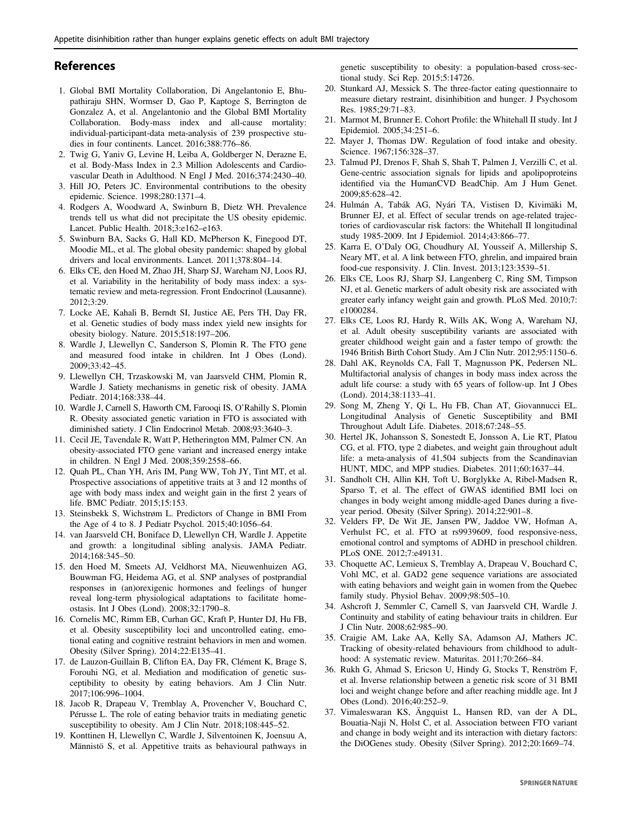## <span id="page-6-0"></span>References

- 1. Global BMI Mortality Collaboration, Di Angelantonio E, Bhupathiraju SHN, Wormser D, Gao P, Kaptoge S, Berrington de Gonzalez A, et al. Angelantonio and the Global BMI Mortality Collaboration. Body-mass index and all-cause mortality: individual-participant-data meta-analysis of 239 prospective studies in four continents. Lancet. 2016;388:776–86.
- 2. Twig G, Yaniv G, Levine H, Leiba A, Goldberger N, Derazne E, et al. Body-Mass Index in 2.3 Million Adolescents and Cardiovascular Death in Adulthood. N Engl J Med. 2016;374:2430–40.
- 3. Hill JO, Peters JC. Environmental contributions to the obesity epidemic. Science. 1998;280:1371–4.
- 4. Rodgers A, Woodward A, Swinburn B, Dietz WH. Prevalence trends tell us what did not precipitate the US obesity epidemic. Lancet. Public Health. 2018;3:e162–e163.
- 5. Swinburn BA, Sacks G, Hall KD, McPherson K, Finegood DT, Moodie ML, et al. The global obesity pandemic: shaped by global drivers and local environments. Lancet. 2011;378:804–14.
- 6. Elks CE, den Hoed M, Zhao JH, Sharp SJ, Wareham NJ, Loos RJ, et al. Variability in the heritability of body mass index: a systematic review and meta-regression. Front Endocrinol (Lausanne). 2012;3:29.
- 7. Locke AE, Kahali B, Berndt SI, Justice AE, Pers TH, Day FR, et al. Genetic studies of body mass index yield new insights for obesity biology. Nature. 2015;518:197–206.
- 8. Wardle J, Llewellyn C, Sanderson S, Plomin R. The FTO gene and measured food intake in children. Int J Obes (Lond). 2009;33:42–45.
- 9. Llewellyn CH, Trzaskowski M, van Jaarsveld CHM, Plomin R, Wardle J. Satiety mechanisms in genetic risk of obesity. JAMA Pediatr. 2014;168:338–44.
- 10. Wardle J, Carnell S, Haworth CM, Farooqi IS, O'Rahilly S, Plomin R. Obesity associated genetic variation in FTO is associated with diminished satiety. J Clin Endocrinol Metab. 2008;93:3640–3.
- 11. Cecil JE, Tavendale R, Watt P, Hetherington MM, Palmer CN. An obesity-associated FTO gene variant and increased energy intake in children. N Engl J Med. 2008;359:2558–66.
- 12. Quah PL, Chan YH, Aris IM, Pang WW, Toh JY, Tint MT, et al. Prospective associations of appetitive traits at 3 and 12 months of age with body mass index and weight gain in the first 2 years of life. BMC Pediatr. 2015;15:153.
- 13. Steinsbekk S, Wichstrøm L. Predictors of Change in BMI From the Age of 4 to 8. J Pediatr Psychol. 2015;40:1056–64.
- 14. van Jaarsveld CH, Boniface D, Llewellyn CH, Wardle J. Appetite and growth: a longitudinal sibling analysis. JAMA Pediatr. 2014;168:345–50.
- 15. den Hoed M, Smeets AJ, Veldhorst MA, Nieuwenhuizen AG, Bouwman FG, Heidema AG, et al. SNP analyses of postprandial responses in (an)orexigenic hormones and feelings of hunger reveal long-term physiological adaptations to facilitate homeostasis. Int J Obes (Lond). 2008;32:1790–8.
- 16. Cornelis MC, Rimm EB, Curhan GC, Kraft P, Hunter DJ, Hu FB, et al. Obesity susceptibility loci and uncontrolled eating, emotional eating and cognitive restraint behaviors in men and women. Obesity (Silver Spring). 2014;22:E135–41.
- 17. de Lauzon-Guillain B, Clifton EA, Day FR, Clément K, Brage S, Forouhi NG, et al. Mediation and modification of genetic susceptibility to obesity by eating behaviors. Am J Clin Nutr. 2017;106:996–1004.
- 18. Jacob R, Drapeau V, Tremblay A, Provencher V, Bouchard C, Pérusse L. The role of eating behavior traits in mediating genetic susceptibility to obesity. Am J Clin Nutr. 2018;108:445–52.
- 19. Konttinen H, Llewellyn C, Wardle J, Silventoinen K, Joensuu A, Männistö S, et al. Appetitive traits as behavioural pathways in

genetic susceptibility to obesity: a population-based cross-sectional study. Sci Rep. 2015;5:14726.

- 20. Stunkard AJ, Messick S. The three-factor eating questionnaire to measure dietary restraint, disinhibition and hunger. J Psychosom Res. 1985;29:71–83.
- 21. Marmot M, Brunner E. Cohort Profile: the Whitehall II study. Int J Epidemiol. 2005;34:251–6.
- 22. Mayer J, Thomas DW. Regulation of food intake and obesity. Science. 1967;156:328–37.
- 23. Talmud PJ, Drenos F, Shah S, Shah T, Palmen J, Verzilli C, et al. Gene-centric association signals for lipids and apolipoproteins identified via the HumanCVD BeadChip. Am J Hum Genet. 2009;85:628–42.
- 24. Hulmán A, Tabák AG, Nyári TA, Vistisen D, Kivimäki M, Brunner EJ, et al. Effect of secular trends on age-related trajectories of cardiovascular risk factors: the Whitehall II longitudinal study 1985-2009. Int J Epidemiol. 2014;43:866–77.
- 25. Karra E, O'Daly OG, Choudhury AI, Yousseif A, Millership S, Neary MT, et al. A link between FTO, ghrelin, and impaired brain food-cue responsivity. J. Clin. Invest. 2013;123:3539–51.
- 26. Elks CE, Loos RJ, Sharp SJ, Langenberg C, Ring SM, Timpson NJ, et al. Genetic markers of adult obesity risk are associated with greater early infancy weight gain and growth. PLoS Med. 2010;7: e1000284.
- 27. Elks CE, Loos RJ, Hardy R, Wills AK, Wong A, Wareham NJ, et al. Adult obesity susceptibility variants are associated with greater childhood weight gain and a faster tempo of growth: the 1946 British Birth Cohort Study. Am J Clin Nutr. 2012;95:1150–6.
- 28. Dahl AK, Reynolds CA, Fall T, Magnusson PK, Pedersen NL. Multifactorial analysis of changes in body mass index across the adult life course: a study with 65 years of follow-up. Int J Obes (Lond). 2014;38:1133–41.
- 29. Song M, Zheng Y, Qi L, Hu FB, Chan AT, Giovannucci EL. Longitudinal Analysis of Genetic Susceptibility and BMI Throughout Adult Life. Diabetes. 2018;67:248–55.
- 30. Hertel JK, Johansson S, Sonestedt E, Jonsson A, Lie RT, Platou CG, et al. FTO, type 2 diabetes, and weight gain throughout adult life: a meta-analysis of 41,504 subjects from the Scandinavian HUNT, MDC, and MPP studies. Diabetes. 2011;60:1637–44.
- 31. Sandholt CH, Allin KH, Toft U, Borglykke A, Ribel-Madsen R, Sparso T, et al. The effect of GWAS identified BMI loci on changes in body weight among middle-aged Danes during a fiveyear period. Obesity (Silver Spring). 2014;22:901–8.
- 32. Velders FP, De Wit JE, Jansen PW, Jaddoe VW, Hofman A, Verhulst FC, et al. FTO at rs9939609, food responsive-ness, emotional control and symptoms of ADHD in preschool children. PLoS ONE. 2012;7:e49131.
- 33. Choquette AC, Lemieux S, Tremblay A, Drapeau V, Bouchard C, Vohl MC, et al. GAD2 gene sequence variations are associated with eating behaviors and weight gain in women from the Quebec family study. Physiol Behav. 2009;98:505–10.
- 34. Ashcroft J, Semmler C, Carnell S, van Jaarsveld CH, Wardle J. Continuity and stability of eating behaviour traits in children. Eur J Clin Nutr. 2008;62:985–90.
- 35. Craigie AM, Lake AA, Kelly SA, Adamson AJ, Mathers JC. Tracking of obesity-related behaviours from childhood to adulthood: A systematic review. Maturitas. 2011;70:266–84.
- 36. Rukh G, Ahmad S, Ericson U, Hindy G, Stocks T, Renström F, et al. Inverse relationship between a genetic risk score of 31 BMI loci and weight change before and after reaching middle age. Int J Obes (Lond). 2016;40:252–9.
- 37. Vimaleswaran KS, Ängquist L, Hansen RD, van der A DL, Bouatia-Naji N, Holst C, et al. Association between FTO variant and change in body weight and its interaction with dietary factors: the DiOGenes study. Obesity (Silver Spring). 2012;20:1669–74.